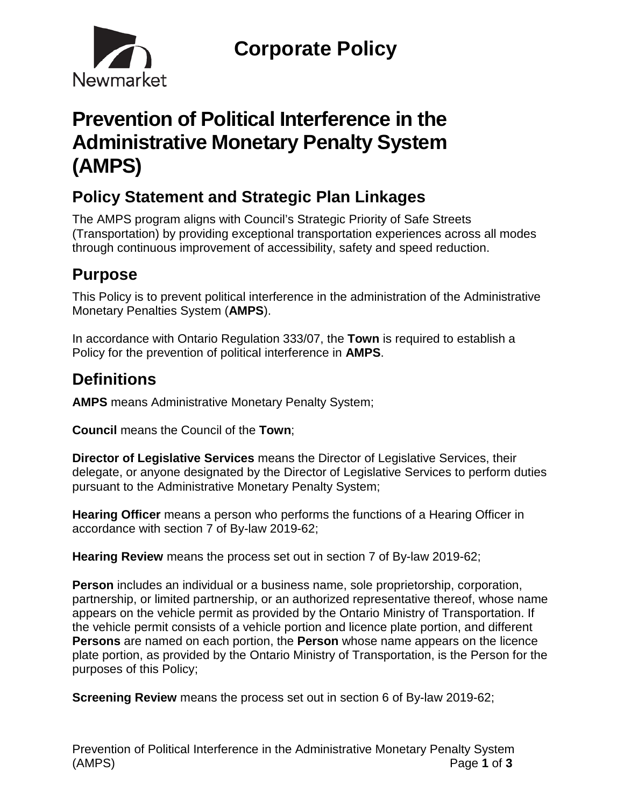

# **Prevention of Political Interference in the Administrative Monetary Penalty System (AMPS)**

# **Policy Statement and Strategic Plan Linkages**

The AMPS program aligns with Council's Strategic Priority of Safe Streets (Transportation) by providing exceptional transportation experiences across all modes through continuous improvement of accessibility, safety and speed reduction.

# **Purpose**

This Policy is to prevent political interference in the administration of the Administrative Monetary Penalties System (**AMPS**).

In accordance with Ontario Regulation 333/07, the **Town** is required to establish a Policy for the prevention of political interference in **AMPS**.

# **Definitions**

**AMPS** means Administrative Monetary Penalty System;

**Council** means the Council of the **Town**;

**Director of Legislative Services** means the Director of Legislative Services, their delegate, or anyone designated by the Director of Legislative Services to perform duties pursuant to the Administrative Monetary Penalty System;

**Hearing Officer** means a person who performs the functions of a Hearing Officer in accordance with section 7 of By-law 2019-62;

**Hearing Review** means the process set out in section 7 of By-law 2019-62;

**Person** includes an individual or a business name, sole proprietorship, corporation, partnership, or limited partnership, or an authorized representative thereof, whose name appears on the vehicle permit as provided by the Ontario Ministry of Transportation. If the vehicle permit consists of a vehicle portion and licence plate portion, and different **Persons** are named on each portion, the **Person** whose name appears on the licence plate portion, as provided by the Ontario Ministry of Transportation, is the Person for the purposes of this Policy;

**Screening Review** means the process set out in section 6 of By-law 2019-62;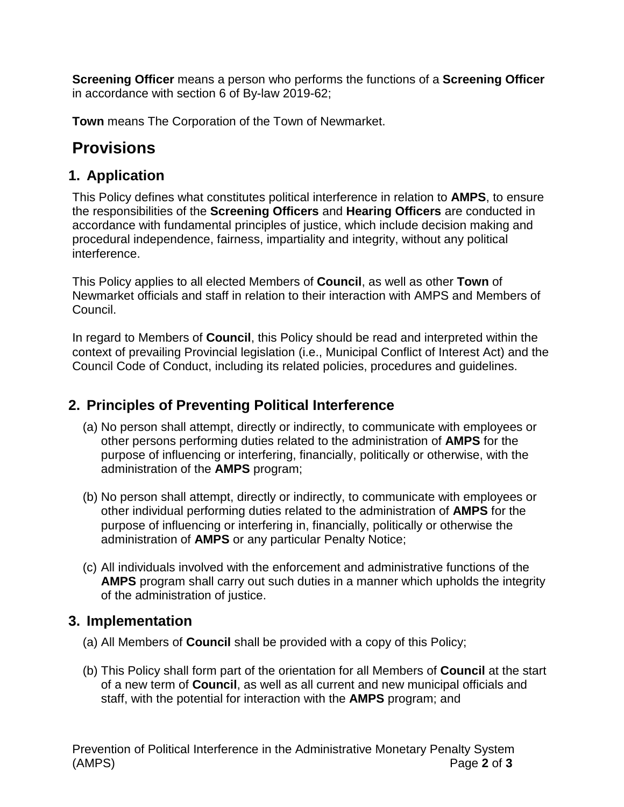**Screening Officer** means a person who performs the functions of a **Screening Officer**  in accordance with section 6 of By-law 2019-62;

**Town** means The Corporation of the Town of Newmarket.

## **Provisions**

#### **1. Application**

This Policy defines what constitutes political interference in relation to **AMPS**, to ensure the responsibilities of the **Screening Officers** and **Hearing Officers** are conducted in accordance with fundamental principles of justice, which include decision making and procedural independence, fairness, impartiality and integrity, without any political interference.

This Policy applies to all elected Members of **Council**, as well as other **Town** of Newmarket officials and staff in relation to their interaction with AMPS and Members of Council.

In regard to Members of **Council**, this Policy should be read and interpreted within the context of prevailing Provincial legislation (i.e., Municipal Conflict of Interest Act) and the Council Code of Conduct, including its related policies, procedures and guidelines.

#### **2. Principles of Preventing Political Interference**

- (a) No person shall attempt, directly or indirectly, to communicate with employees or other persons performing duties related to the administration of **AMPS** for the purpose of influencing or interfering, financially, politically or otherwise, with the administration of the **AMPS** program;
- (b) No person shall attempt, directly or indirectly, to communicate with employees or other individual performing duties related to the administration of **AMPS** for the purpose of influencing or interfering in, financially, politically or otherwise the administration of **AMPS** or any particular Penalty Notice;
- (c) All individuals involved with the enforcement and administrative functions of the **AMPS** program shall carry out such duties in a manner which upholds the integrity of the administration of justice.

#### **3. Implementation**

- (a) All Members of **Council** shall be provided with a copy of this Policy;
- (b) This Policy shall form part of the orientation for all Members of **Council** at the start of a new term of **Council**, as well as all current and new municipal officials and staff, with the potential for interaction with the **AMPS** program; and